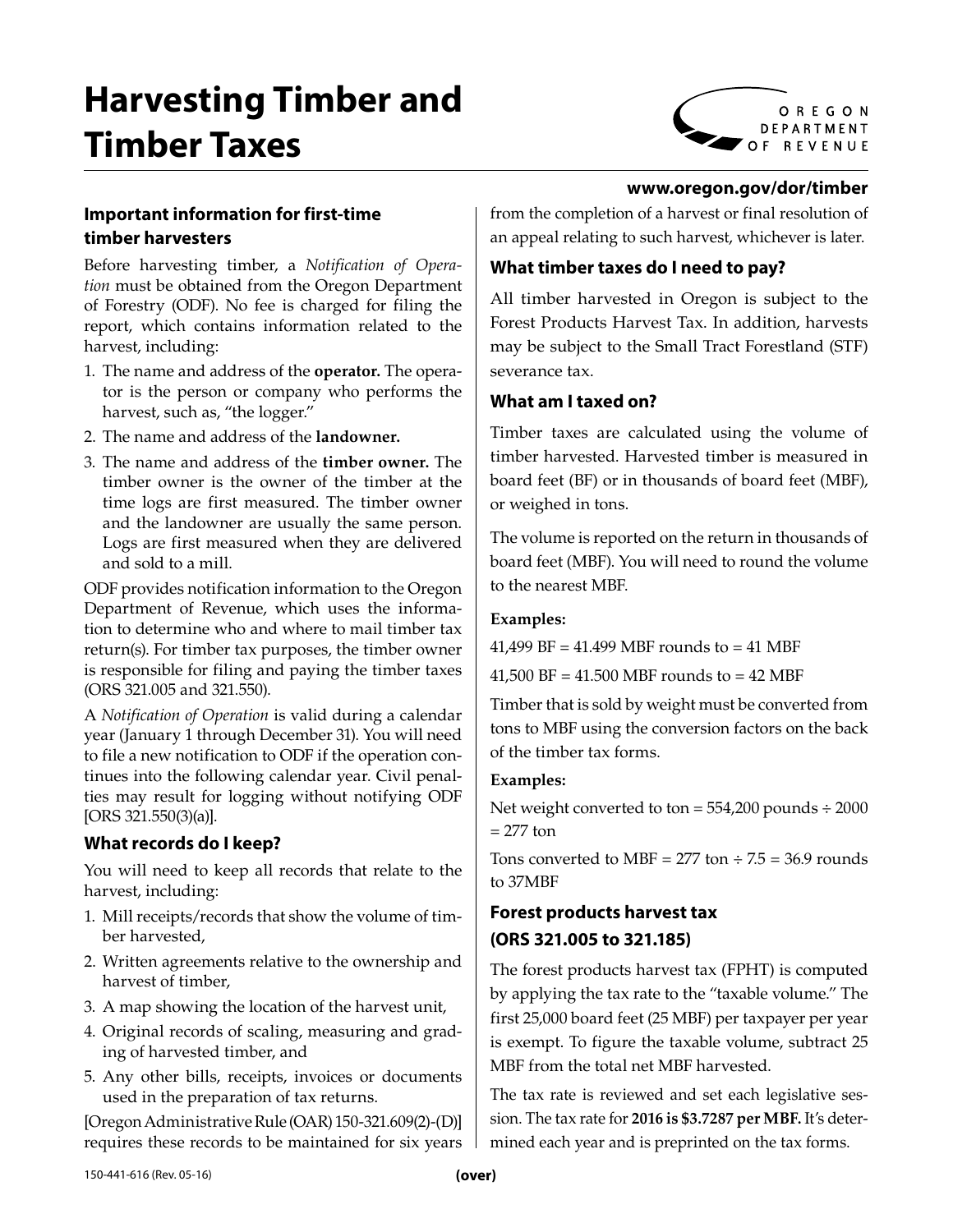# **Harvesting Timber and Timber Taxes**



#### **www.oregon.gov/dor/timber**

# **Important information for first-time timber harvesters**

Before harvesting timber, a *Notification of Operation* must be obtained from the Oregon Department of Forestry (ODF). No fee is charged for filing the report, which contains information related to the harvest, including:

- 1. The name and address of the **operator.** The operator is the person or company who performs the harvest, such as, "the logger."
- 2. The name and address of the **landowner.**
- 3. The name and address of the **timber owner.** The timber owner is the owner of the timber at the time logs are first measured. The timber owner and the landowner are usually the same person. Logs are first measured when they are delivered and sold to a mill.

ODF provides notification information to the Oregon Department of Revenue, which uses the information to determine who and where to mail timber tax return(s). For timber tax purposes, the timber owner is responsible for filing and paying the timber taxes (ORS 321.005 and 321.550).

A *Notification of Operation* is valid during a calendar year (January 1 through December 31). You will need to file a new notification to ODF if the operation continues into the following calendar year. Civil penalties may result for logging without notifying ODF [ORS 321.550(3)(a)].

## **What records do I keep?**

You will need to keep all records that relate to the harvest, including:

- 1. Mill receipts/records that show the volume of timber harvested,
- 2. Written agreements relative to the ownership and harvest of timber,
- 3. A map showing the location of the harvest unit,
- 4. Original records of scaling, measuring and grading of harvested timber, and
- 5. Any other bills, receipts, invoices or documents used in the preparation of tax returns.

[Oregon Administrative Rule (OAR) 150-321.609(2)-(D)] requires these records to be maintained for six years from the completion of a harvest or final resolution of an appeal relating to such harvest, whichever is later.

## **What timber taxes do I need to pay?**

All timber harvested in Oregon is subject to the Forest Products Harvest Tax. In addition, harvests may be subject to the Small Tract Forestland (STF) severance tax.

## **What am I taxed on?**

Timber taxes are calculated using the volume of timber harvested. Harvested timber is measured in board feet (BF) or in thousands of board feet (MBF), or weighed in tons.

The volume is reported on the return in thousands of board feet (MBF). You will need to round the volume to the nearest MBF.

#### **Examples:**

41,499 BF = 41.499 MBF rounds to = 41 MBF

41,500 BF = 41.500 MBF rounds to = 42 MBF

Timber that is sold by weight must be converted from tons to MBF using the conversion factors on the back of the timber tax forms.

#### **Examples:**

Net weight converted to ton  $= 554,200$  pounds  $\div 2000$  $= 277$  ton

Tons converted to MBF = 277 ton  $\div$  7.5 = 36.9 rounds to 37MBF

# **Forest products harvest tax (ORS 321.005 to 321.185)**

The forest products harvest tax (FPHT) is computed by applying the tax rate to the "taxable volume." The first 25,000 board feet (25 MBF) per taxpayer per year is exempt. To figure the taxable volume, subtract 25 MBF from the total net MBF harvested.

The tax rate is reviewed and set each legislative session. The tax rate for **2016 is \$3.7287 per MBF.** It's determined each year and is preprinted on the tax forms.